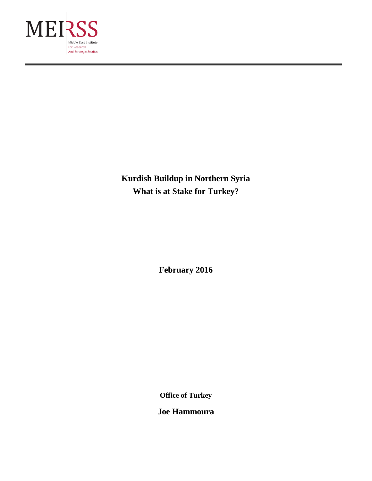

**Kurdish Buildup in Northern Syria What is at Stake for Turkey?**

**February 2016**

**Office of Turkey**

**Joe Hammoura**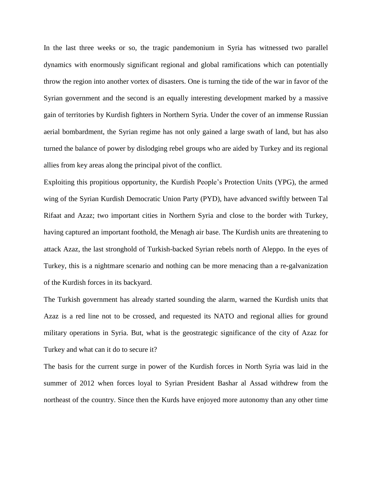In the last three weeks or so, the tragic pandemonium in Syria has witnessed two parallel dynamics with enormously significant regional and global ramifications which can potentially throw the region into another vortex of disasters. One is turning the tide of the war in favor of the Syrian government and the second is an equally interesting development marked by a massive gain of territories by Kurdish fighters in Northern Syria. Under the cover of an immense Russian aerial bombardment, the Syrian regime has not only gained a large swath of land, but has also turned the balance of power by dislodging rebel groups who are aided by Turkey and its regional allies from key areas along the principal pivot of the conflict.

Exploiting this propitious opportunity, the Kurdish People's Protection Units (YPG), the armed wing of the Syrian Kurdish Democratic Union Party (PYD), have advanced swiftly between Tal Rifaat and Azaz; two important cities in Northern Syria and close to the border with Turkey, having captured an important foothold, the Menagh air base. The Kurdish units are threatening to attack Azaz, the last stronghold of Turkish-backed Syrian rebels north of Aleppo. In the eyes of Turkey, this is a nightmare scenario and nothing can be more menacing than a re-galvanization of the Kurdish forces in its backyard.

The Turkish government has already started sounding the alarm, warned the Kurdish units that Azaz is a red line not to be crossed, and requested its NATO and regional allies for ground military operations in Syria. But, what is the geostrategic significance of the city of Azaz for Turkey and what can it do to secure it?

The basis for the current surge in power of the Kurdish forces in North Syria was laid in the summer of 2012 when forces loyal to Syrian President Bashar al Assad withdrew from the northeast of the country. Since then the Kurds have enjoyed more autonomy than any other time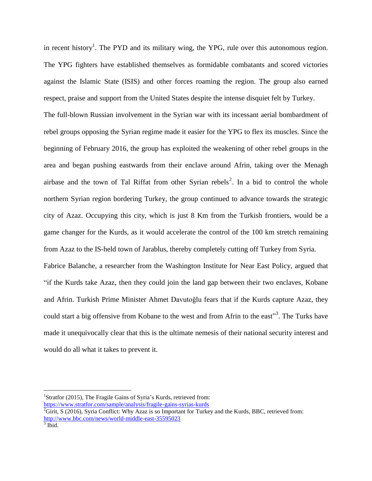in recent history<sup>1</sup>. The PYD and its military wing, the YPG, rule over this autonomous region. The YPG fighters have established themselves as formidable combatants and scored victories against the Islamic State (ISIS) and other forces roaming the region. The group also earned respect, praise and support from the United States despite the intense disquiet felt by Turkey.

The full-blown Russian involvement in the Syrian war with its incessant aerial bombardment of rebel groups opposing the Syrian regime made it easier for the YPG to flex its muscles. Since the beginning of February 2016, the group has exploited the weakening of other rebel groups in the area and began pushing eastwards from their enclave around Afrin, taking over the Menagh airbase and the town of Tal Riffat from other Syrian rebels<sup>2</sup>. In a bid to control the whole northern Syrian region bordering Turkey, the group continued to advance towards the strategic city of Azaz. Occupying this city, which is just 8 Km from the Turkish frontiers, would be a game changer for the Kurds, as it would accelerate the control of the 100 km stretch remaining from Azaz to the IS-held town of Jarablus, thereby completely cutting off Turkey from Syria.

Fabrice Balanche, a researcher from the Washington Institute for Near East Policy, argued that "if the Kurds take Azaz, then they could join the land gap between their two enclaves, Kobane and Afrin. Turkish Prime Minister Ahmet Davutoğlu fears that if the Kurds capture Azaz, they could start a big offensive from Kobane to the west and from Afrin to the east"<sup>3</sup>. The Turks have made it unequivocally clear that this is the ultimate nemesis of their national security interest and would do all what it takes to prevent it.

<sup>&</sup>lt;sup>1</sup>Stratfor (2015), The Fragile Gains of Syria's Kurds, retrieved from: <https://www.stratfor.com/sample/analysis/fragile-gains-syrias-kurds>

 ${}^{2}$ Girit, S (2016), Syria Conflict: Why Azaz is so Important for Turkey and the Kurds, BBC, retrieved from: <http://www.bbc.com/news/world-middle-east-35595023>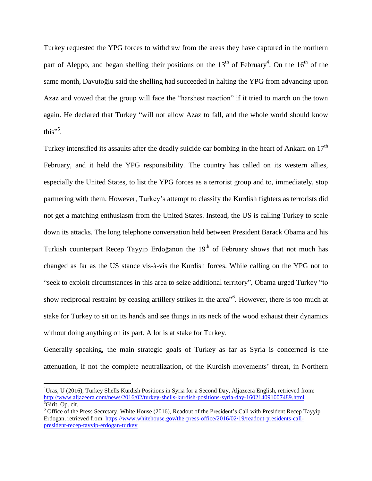Turkey requested the YPG forces to withdraw from the areas they have captured in the northern part of Aleppo, and began shelling their positions on the  $13<sup>th</sup>$  of February<sup>4</sup>. On the  $16<sup>th</sup>$  of the same month, Davutoğlu said the shelling had succeeded in halting the YPG from advancing upon Azaz and vowed that the group will face the "harshest reaction" if it tried to march on the town again. He declared that Turkey "will not allow Azaz to fall, and the whole world should know this"<sup>5</sup>.

Turkey intensified its assaults after the deadly suicide car bombing in the heart of Ankara on  $17<sup>th</sup>$ February, and it held the YPG responsibility. The country has called on its western allies, especially the United States, to list the YPG forces as a terrorist group and to, immediately, stop partnering with them. However, Turkey's attempt to classify the Kurdish fighters as terrorists did not get a matching enthusiasm from the United States. Instead, the US is calling Turkey to scale down its attacks. The long telephone conversation held between President Barack Obama and his Turkish counterpart Recep Tayyip Erdoğanon the  $19<sup>th</sup>$  of February shows that not much has changed as far as the US stance vis-à-vis the Kurdish forces. While calling on the YPG not to "seek to exploit circumstances in this area to seize additional territory", Obama urged Turkey "to show reciprocal restraint by ceasing artillery strikes in the area<sup>"6</sup>. However, there is too much at stake for Turkey to sit on its hands and see things in its neck of the wood exhaust their dynamics without doing anything on its part. A lot is at stake for Turkey.

Generally speaking, the main strategic goals of Turkey as far as Syria is concerned is the attenuation, if not the complete neutralization, of the Kurdish movements' threat, in Northern

<sup>4</sup>Uras, U (2016), Turkey Shells Kurdish Positions in Syria for a Second Day, Aljazeera English, retrieved from: <http://www.aljazeera.com/news/2016/02/turkey-shells-kurdish-positions-syria-day-160214091007489.html>  ${}^5$ Girit, Op. cit.

<sup>6</sup> Office of the Press Secretary, White House (2016), Readout of the President's Call with President Recep Tayyip Erdogan, retrieved from: [https://www.whitehouse.gov/the-press-office/2016/02/19/readout-presidents-call](https://www.whitehouse.gov/the-press-office/2016/02/19/readout-presidents-call-president-recep-tayyip-erdogan-turkey)[president-recep-tayyip-erdogan-turkey](https://www.whitehouse.gov/the-press-office/2016/02/19/readout-presidents-call-president-recep-tayyip-erdogan-turkey)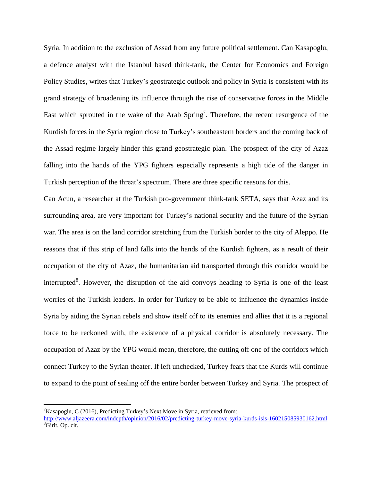Syria. In addition to the exclusion of Assad from any future political settlement. Can Kasapoglu, a defence analyst with the Istanbul based think-tank, the Center for Economics and Foreign Policy Studies, writes that Turkey's geostrategic outlook and policy in Syria is consistent with its grand strategy of broadening its influence through the rise of conservative forces in the Middle East which sprouted in the wake of the Arab Spring<sup>7</sup>. Therefore, the recent resurgence of the Kurdish forces in the Syria region close to Turkey's southeastern borders and the coming back of the Assad regime largely hinder this grand geostrategic plan. The prospect of the city of Azaz falling into the hands of the YPG fighters especially represents a high tide of the danger in Turkish perception of the threat's spectrum. There are three specific reasons for this.

Can Acun, a researcher at the Turkish pro-government think-tank SETA, says that Azaz and its surrounding area, are very important for Turkey's national security and the future of the Syrian war. The area is on the land corridor stretching from the Turkish border to the city of Aleppo. He reasons that if this strip of land falls into the hands of the Kurdish fighters, as a result of their occupation of the city of Azaz, the humanitarian aid transported through this corridor would be interrupted<sup>8</sup>. However, the disruption of the aid convoys heading to Syria is one of the least worries of the Turkish leaders. In order for Turkey to be able to influence the dynamics inside Syria by aiding the Syrian rebels and show itself off to its enemies and allies that it is a regional force to be reckoned with, the existence of a physical corridor is absolutely necessary. The occupation of Azaz by the YPG would mean, therefore, the cutting off one of the corridors which connect Turkey to the Syrian theater. If left unchecked, Turkey fears that the Kurds will continue to expand to the point of sealing off the entire border between Turkey and Syria. The prospect of

<sup>&</sup>lt;sup>7</sup>Kasapoglu, C (2016), Predicting Turkey's Next Move in Syria, retrieved from:

<http://www.aljazeera.com/indepth/opinion/2016/02/predicting-turkey-move-syria-kurds-isis-160215085930162.html> <sup>8</sup>Girit, Op. cit.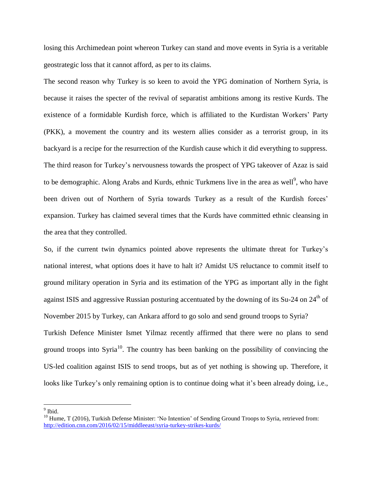losing this Archimedean point whereon Turkey can stand and move events in Syria is a veritable geostrategic loss that it cannot afford, as per to its claims.

The second reason why Turkey is so keen to avoid the YPG domination of Northern Syria, is because it raises the specter of the revival of separatist ambitions among its restive Kurds. The existence of a formidable Kurdish force, which is affiliated to the Kurdistan Workers' Party (PKK), a movement the country and its western allies consider as a terrorist group, in its backyard is a recipe for the resurrection of the Kurdish cause which it did everything to suppress. The third reason for Turkey's nervousness towards the prospect of YPG takeover of Azaz is said to be demographic. Along Arabs and Kurds, ethnic Turkmens live in the area as well<sup>9</sup>, who have been driven out of Northern of Syria towards Turkey as a result of the Kurdish forces' expansion. Turkey has claimed several times that the Kurds have committed ethnic cleansing in the area that they controlled.

So, if the current twin dynamics pointed above represents the ultimate threat for Turkey's national interest, what options does it have to halt it? Amidst US reluctance to commit itself to ground military operation in Syria and its estimation of the YPG as important ally in the fight against ISIS and aggressive Russian posturing accentuated by the downing of its Su-24 on 24<sup>th</sup> of November 2015 by Turkey, can Ankara afford to go solo and send ground troops to Syria?

Turkish Defence Minister Ismet Yilmaz recently affirmed that there were no plans to send ground troops into Syria<sup>10</sup>. The country has been banking on the possibility of convincing the US-led coalition against ISIS to send troops, but as of yet nothing is showing up. Therefore, it looks like Turkey's only remaining option is to continue doing what it's been already doing, i.e.,

<sup>&</sup>lt;sup>9</sup> Ibid.

<sup>&</sup>lt;sup>10</sup> Hume, T (2016), Turkish Defense Minister: 'No Intention' of Sending Ground Troops to Syria, retrieved from: <http://edition.cnn.com/2016/02/15/middleeast/syria-turkey-strikes-kurds/>